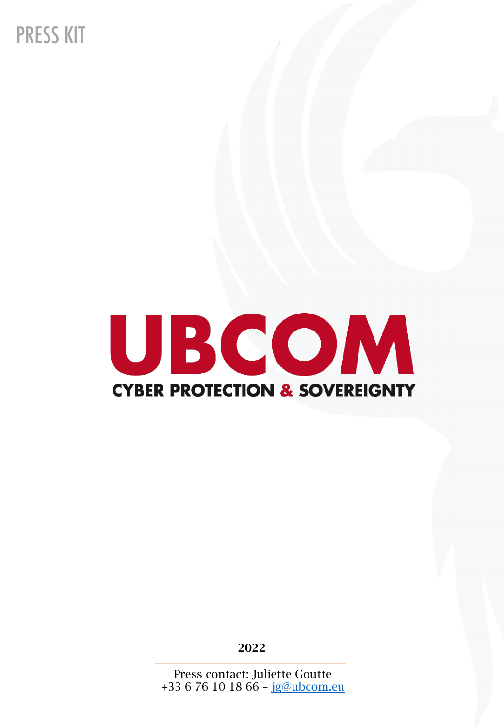**PRESS KIT** 



2022

Press contact: Juliette Goutte +33 6 76 10 18 66 -  $ig@ubcom.eu$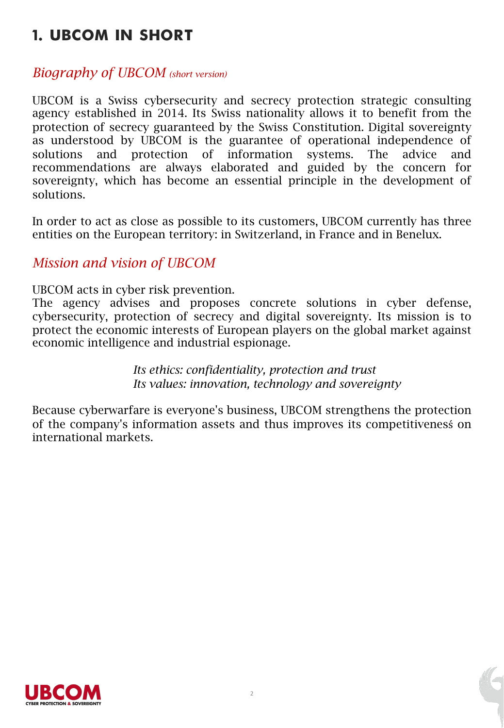# **1. UBCOM IN SHORT**

### *Biography of UBCOM (short version)*

UBCOM is a Swiss cybersecurity and secrecy protection strategic consulting agency established in 2014. Its Swiss nationality allows it to benefit from the protection of secrecy guaranteed by the Swiss Constitution. Digital sovereignty as understood by UBCOM is the guarantee of operational independence of solutions and protection of information systems. The advice and recommendations are always elaborated and guided by the concern for sovereignty, which has become an essential principle in the development of solutions.

In order to act as close as possible to its customers, UBCOM currently has three entities on the European territory: in Switzerland, in France and in Benelux.

### *Mission and vision of UBCOM*

UBCOM acts in cyber risk prevention.

The agency advises and proposes concrete solutions in cyber defense, cybersecurity, protection of secrecy and digital sovereignty. Its mission is to protect the economic interests of European players on the global market against economic intelligence and industrial espionage.

> *Its ethics: confidentiality, protection and trust Its values: innovation, technology and sovereignty*

Because cyberwarfare is everyone's business, UBCOM strengthens the protection of the company's information assets and thus improves its competitivenesś on international markets.

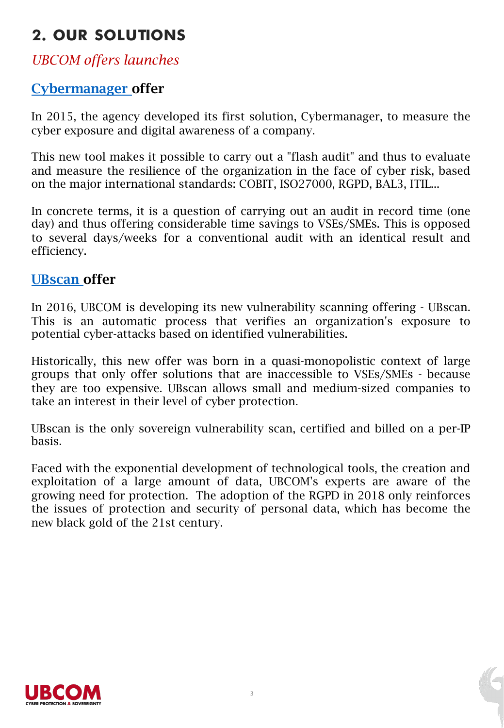# **2. OUR SOLUTIONS**

### *UBCOM offers launches*

### [Cybermanager](https://www.ubcom.eu/cybermanager) offer

In 2015, the agency developed its first solution, Cybermanager, to measure the cyber exposure and digital awareness of a company.

This new tool makes it possible to carry out a "flash audit" and thus to evaluate and measure the resilience of the organization in the face of cyber risk, based on the major international standards: COBIT, ISO27000, RGPD, BAL3, ITIL...

In concrete terms, it is a question of carrying out an audit in record time (one day) and thus offering considerable time savings to VSEs/SMEs. This is opposed to several days/weeks for a conventional audit with an identical result and efficiency.

### [UBscan](https://www.ubcom.eu/ubscan) offer

In 2016, UBCOM is developing its new vulnerability scanning offering - UBscan. This is an automatic process that verifies an organization's exposure to potential cyber-attacks based on identified vulnerabilities.

Historically, this new offer was born in a quasi-monopolistic context of large groups that only offer solutions that are inaccessible to VSEs/SMEs - because they are too expensive. UBscan allows small and medium-sized companies to take an interest in their level of cyber protection.

UBscan is the only sovereign vulnerability scan, certified and billed on a per-IP basis.

Faced with the exponential development of technological tools, the creation and exploitation of a large amount of data, UBCOM's experts are aware of the growing need for protection. The adoption of the RGPD in 2018 only reinforces the issues of protection and security of personal data, which has become the new black gold of the 21st century.



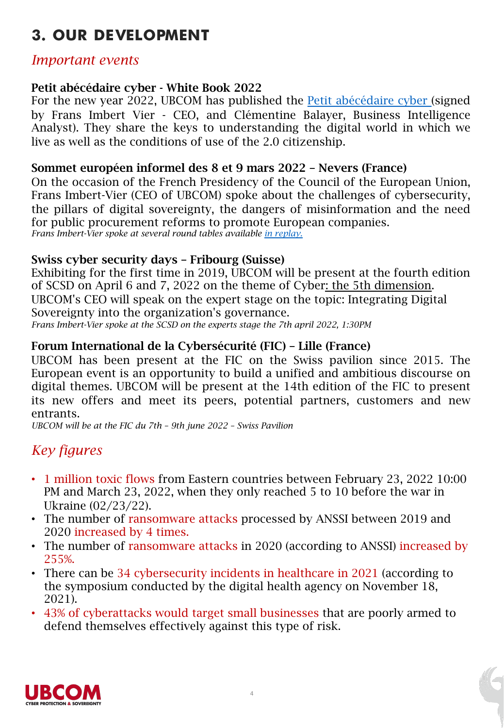# **3. OUR DEVELOPMENT**

### *Important events*

#### Petit abécédaire cyber - White Book 2022

For the new year 2022, UBCOM has published the Petit [abécédaire](https://www.ubcom.eu/abecedairecyber2022) cyber (signed by Frans Imbert Vier - CEO, and Clémentine Balayer, Business Intelligence Analyst). They share the keys to understanding the digital world in which we live as well as the conditions of use of the 2.0 citizenship.

#### Sommet européen informel des 8 et 9 mars 2022 – Nevers (France)

On the occasion of the French Presidency of the Council of the European Union, Frans Imbert-Vier (CEO of UBCOM) spoke about the challenges of cybersecurity, the pillars of digital sovereignty, the dangers of misinformation and the need for public procurement reforms to promote [Europ](https://www.nevers.fr/actualites/sommet-europeen-des-8-9-mars)ean companies. *Frans Imbert-Vier spoke at several round tables available in replay.*

#### Swiss cyber security days – Fribourg (Suisse)

Exhibiting for the first time in 2019, UBCOM will be present at the fourth edition of SCSD on April 6 and 7, 2022 on the theme of Cyber: the 5th dimension. UBCOM's CEO will speak on the expert stage on the topic: Integrating Digital Sovereignty into the organization's governance. *Frans Imbert-Vier spoke at the SCSD on the experts stage the 7th april 2022, 1:30PM*

### Forum International de la Cybersécurité (FIC) – Lille (France)

UBCOM has been present at the FIC on the Swiss pavilion since 2015. The European event is an opportunity to build a unified and ambitious discourse on digital themes. UBCOM will be present at the 14th edition of the FIC to present its new offers and meet its peers, potential partners, customers and new entrants.

*UBCOM will be at the FIC du 7th – 9th june 2022 – Swiss Pavilion*

## *Key figures*

- 1 million toxic flows from Eastern countries between February 23, 2022 10:00 PM and March 23, 2022, when they only reached 5 to 10 before the war in Ukraine (02/23/22).
- The number of ransomware attacks processed by ANSSI between 2019 and 2020 increased by 4 times.
- The number of ransomware attacks in 2020 (according to ANSSI) increased by 255%.
- There can be 34 cybersecurity incidents in healthcare in 2021 (according to the symposium conducted by the digital health agency on November 18, 2021).
- 43% of cyberattacks would target small businesses that are poorly armed to defend themselves effectively against this type of risk.

4

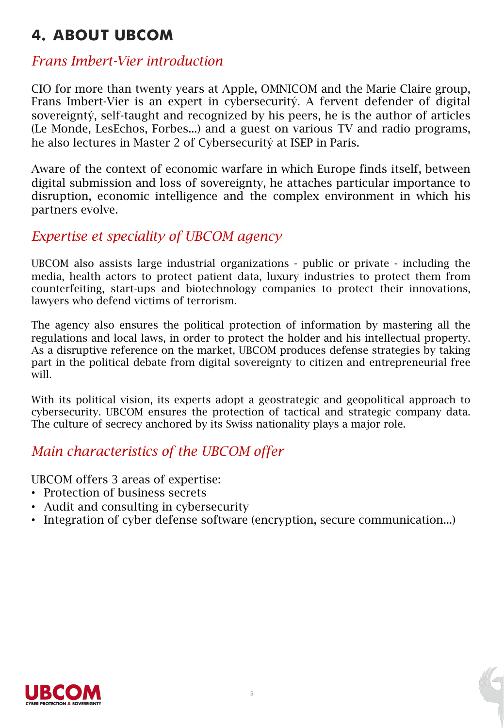# **4. `BOUT UBCOM**

## *Frans Imbert-Vier introduction*

CIO for more than twenty years at Apple, OMNICOM and the Marie Claire group, Frans Imbert-Vier is an expert in cybersecuritý. A fervent defender of digital sovereigntý, self-taught and recognized by his peers, he is the author of articles (Le Monde, LesEchos, Forbes...) and a guest on various TV and radio programs, he also lectures in Master 2 of Cybersecuritý at ISEP in Paris.

Aware of the context of economic warfare in which Europe finds itself, between digital submission and loss of sovereignty, he attaches particular importance to disruption, economic intelligence and the complex environment in which his partners evolve.

### *Expertise et speciality of UBCOM agency*

UBCOM also assists large industrial organizations - public or private - including the media, health actors to protect patient data, luxury industries to protect them from counterfeiting, start-ups and biotechnology companies to protect their innovations, lawyers who defend victims of terrorism.

The agency also ensures the political protection of information by mastering all the regulations and local laws, in order to protect the holder and his intellectual property. As a disruptive reference on the market, UBCOM produces defense strategies by taking part in the political debate from digital sovereignty to citizen and entrepreneurial free will.

With its political vision, its experts adopt a geostrategic and geopolitical approach to cybersecurity. UBCOM ensures the protection of tactical and strategic company data. The culture of secrecy anchored by its Swiss nationality plays a major role.

## *Main characteristics of the UBCOM offer*

UBCOM offers 3 areas of expertise:

- Protection of business secrets
- Audit and consulting in cybersecurity
- Integration of cyber defense software (encryption, secure communication...)

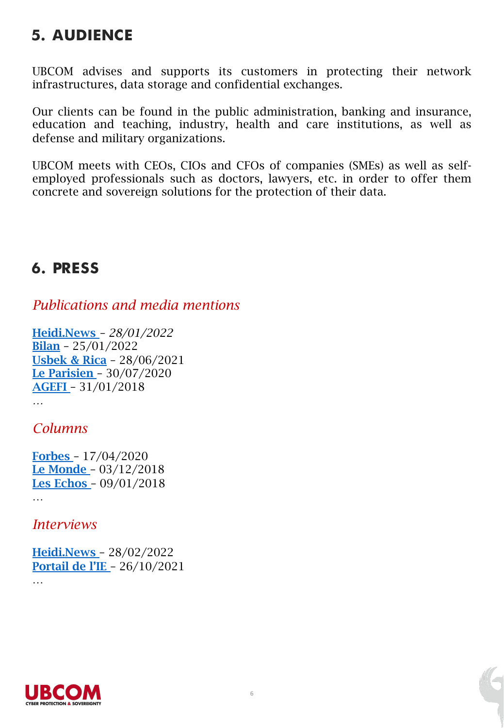# **5. AUDIENCE**

UBCOM advises and supports its customers in protecting their network infrastructures, data storage and confidential exchanges.

Our clients can be found in the public administration, banking and insurance, education and teaching, industry, health and care institutions, as well as defense and military organizations.

UBCOM meets with CEOs, CIOs and CFOs of companies (SMEs) as well as selfemployed professionals such as doctors, lawyers, etc. in order to offer them concrete and sovereign solutions for the protection of their data.

## **6. PRESS**

## *Publications and media mentions*

[Heidi](https://www.bilan.ch/story/protection-des-donnees-les-suisses-affichent-leur-defiance-envers-les-institutions-713396966038).News *– 28/01/2022* Bilan – [25/01/](https://usbeketrica.com/fr/article/et-si-on-revenait-aux-forfaits-internet-limites)2022 [Usbek & Ric](https://www.leparisien.fr/societe/coronavirus-stopcovid-telecharge-entre-2-et-2-5-millions-de-fois-30-07-2020-8361009.php)a – 28/06/2021 [Le Paris](https://agefi.com/actualites/entreprises/ubcom-signe-un-partenariat-avec-business-investigation)ien – 30/07/2020 AGEFI – 31/01/2018

### *Columns*

*…*

[Forbes](https://www.lemonde.fr/idees/article/2018/12/03/le-principe-d-independance-d-un-etat-ne-pourra-s-affirmer-dans-le-cyberespace-qu-au-prix-d-un-internet-repense_5392064_3232.html) – 17/04/2020 Le [Monde](https://www.lesechos.fr/idees-debats/cercle/intel-le-cadeau-de-noel-empoisonne-130001) – 03/12/2018 Les Echos – 09/01/2018 …

*Interviews*

[Heidi.News](https://portail-ie.fr/analysis/2972/conversation-guerre-economique-campagnes-dinfluence-et-souverainete-des-donnees-a-lapproche-des-presidentielles-la-france-est-elle-bien-cyberarmee-12) – 28/02/2022 Portail de l'IE – 26/10/2021 …

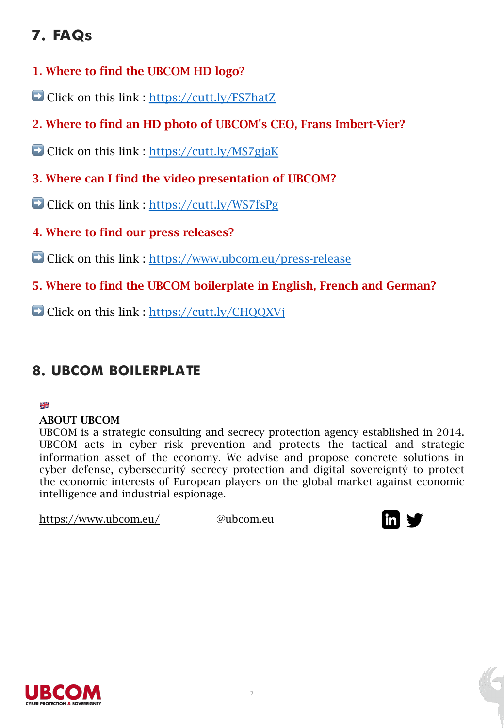# **7. FAQs**

- 1. Where to find the UBCOM HD logo?
- ➡ Click on this link :<https://cutt.ly/FS7hatZ>
- 2. Where to find an HD photo of UBCOM's CEO, Frans Imbert-Vier?
- ➡ Click on this link :<https://cutt.ly/MS7gjaK>
- 3. Where can I find the video presentation of UBCOM?
- ➡ Click on this link :<https://cutt.ly/WS7fsPg>
- 4. Where to find our press releases?
- ➡ Click on this link : <https://www.ubcom.eu/press-release>
- 5. Where to find the UBCOM boilerplate in English, French and German?
- ➡ Click on this link : https://cutt.ly/CHQQXVj

## **8. UBCOM BOILERPLATE**

#### ×<br>≫ ≪

### ABOUT UBCOM

UBCOM is a strategic consulting and secrecy protection agency established in 2014. UBCOM acts in cyber risk prevention and protects the tactical and strategic information asset of the economy. We advise and propose concrete solutions in cyber defense, cybersecuritý secrecy protection and digital sovereigntý to protect the economic interests of European players on the global market against economic intelligence and industrial espionage.

https://www.ubcom.eu/ @ubcom.eu